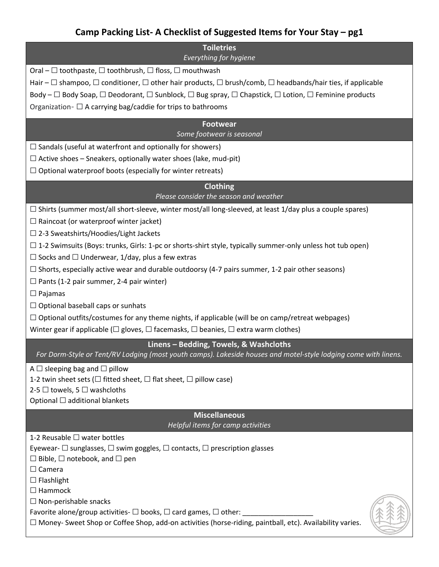## **Camp Packing List- A Checklist of Suggested Items for Your Stay – pg1**

| <b>Toiletries</b><br>Everything for hygiene                                                                                                               |
|-----------------------------------------------------------------------------------------------------------------------------------------------------------|
| Oral – $\Box$ toothpaste, $\Box$ toothbrush, $\Box$ floss, $\Box$ mouthwash                                                                               |
| Hair – $\Box$ shampoo, $\Box$ conditioner, $\Box$ other hair products, $\Box$ brush/comb, $\Box$ headbands/hair ties, if applicable                       |
|                                                                                                                                                           |
| Body – $\Box$ Body Soap, $\Box$ Deodorant, $\Box$ Sunblock, $\Box$ Bug spray, $\Box$ Chapstick, $\Box$ Lotion, $\Box$ Feminine products                   |
| Organization - $\Box$ A carrying bag/caddie for trips to bathrooms                                                                                        |
| <b>Footwear</b><br>Some footwear is seasonal                                                                                                              |
| $\Box$ Sandals (useful at waterfront and optionally for showers)                                                                                          |
| $\Box$ Active shoes – Sneakers, optionally water shoes (lake, mud-pit)                                                                                    |
| $\Box$ Optional waterproof boots (especially for winter retreats)                                                                                         |
| <b>Clothing</b><br>Please consider the season and weather                                                                                                 |
| $\Box$ Shirts (summer most/all short-sleeve, winter most/all long-sleeved, at least 1/day plus a couple spares)                                           |
| $\Box$ Raincoat (or waterproof winter jacket)                                                                                                             |
| $\Box$ 2-3 Sweatshirts/Hoodies/Light Jackets                                                                                                              |
| $\Box$ 1-2 Swimsuits (Boys: trunks, Girls: 1-pc or shorts-shirt style, typically summer-only unless hot tub open)                                         |
| $\Box$ Socks and $\Box$ Underwear, 1/day, plus a few extras                                                                                               |
| $\Box$ Shorts, especially active wear and durable outdoorsy (4-7 pairs summer, 1-2 pair other seasons)                                                    |
| $\Box$ Pants (1-2 pair summer, 2-4 pair winter)                                                                                                           |
| $\Box$ Pajamas                                                                                                                                            |
| $\Box$ Optional baseball caps or sunhats                                                                                                                  |
| $\Box$ Optional outfits/costumes for any theme nights, if applicable (will be on camp/retreat webpages)                                                   |
| Winter gear if applicable ( $\Box$ gloves, $\Box$ facemasks, $\Box$ beanies, $\Box$ extra warm clothes)                                                   |
| Linens - Bedding, Towels, & Washcloths<br>For Dorm-Style or Tent/RV Lodging (most youth camps). Lakeside houses and motel-style lodging come with linens. |
| A $\Box$ sleeping bag and $\Box$ pillow                                                                                                                   |
| 1-2 twin sheet sets ( $\Box$ fitted sheet, $\Box$ flat sheet, $\Box$ pillow case)                                                                         |
| 2-5 $\Box$ towels, 5 $\Box$ washcloths                                                                                                                    |
| Optional $\Box$ additional blankets                                                                                                                       |
| <b>Miscellaneous</b><br>Helpful items for camp activities                                                                                                 |
| 1-2 Reusable $\Box$ water bottles                                                                                                                         |
| Eyewear- $\Box$ sunglasses, $\Box$ swim goggles, $\Box$ contacts, $\Box$ prescription glasses                                                             |
| $\Box$ Bible, $\Box$ notebook, and $\Box$ pen                                                                                                             |
| $\Box$ Camera                                                                                                                                             |
| $\Box$ Flashlight                                                                                                                                         |
| $\Box$ Hammock                                                                                                                                            |
| $\Box$ Non-perishable snacks                                                                                                                              |
| Favorite alone/group activities- $\Box$ books, $\Box$ card games, $\Box$ other: ____                                                                      |
| □ Money- Sweet Shop or Coffee Shop, add-on activities (horse-riding, paintball, etc). Availability varies.                                                |
|                                                                                                                                                           |